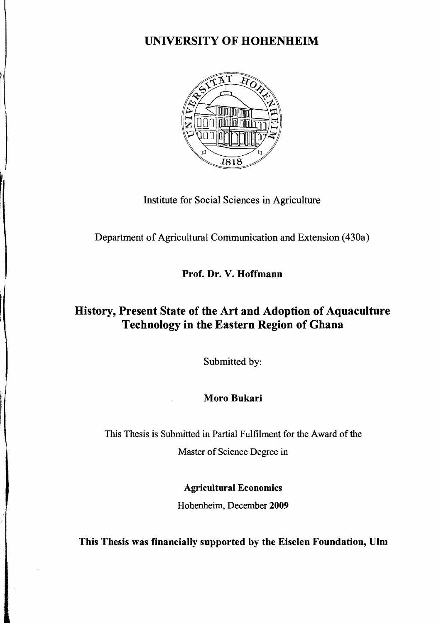## UNIVERSITY OF HOHENHEIM



Institute for Social Sciences in Agriculture

Department of Agricultural Communication and Extension (430a)

Prof. Dr. V. Hoffmann

## History, Present State of the Art and Adoption of Aquaculture Technology in the Eastern Region of Ghana

Submitted by:

## Moro Bukari

This Thesis is Submitted in Partial Fulfilment for the Award of the

Master of Science Degree in

Agricultural Economies

Hohenheim, December 2009

This Thesis was financially supported by the Eiselen Foundation, Ulm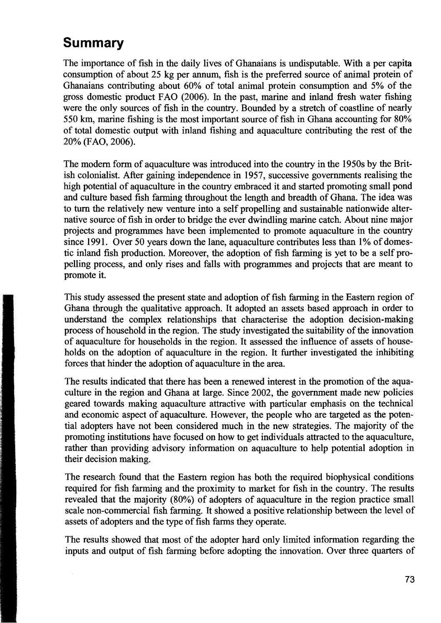## **Summary**

The importance of fish in the daily lives of Ghanaians is undisputable. With a per capita consumption of about 25 kg per annum, fish is the preferred source of animal protein of Ghanaians contributing about 60% of total animal protein consumption and 5% of the gross domestic product FAO (2006). In the past, marine and inland fresh water fishing were the only sources of fish in the country. Bounded by a stretch of coastline of nearly 550 km, marine fishing is the most important source of fish in Ghana accounting for 80% of total domestic output with inland fishing and aquaculture contributing the rest of the 20% (F AO, 2006).

The modem form of aquaculture was introduced into the country in the 1950s by the British colonialist. After gaining independence in 1957, successive govemments realising the high potential of aquaculture in the country embraced it and started promoting small pond and culture based fish farming throughout the length and breadth of Ghana. The idea was to turn the relatively new venture into a self propelling and sustainable nationwide alternative source of fish in order to bridge the ever dwindling marine catch. About nine major projects and programmes have been implemented to promote aquaculture in the country since 1991. Over 50 years down the lane, aquaculture contributes less than 1% of domestic inland fish production. Moreover, the adoption of fish farming is yet to be a self propelling process, and only rises and falls with programmes and projects that are meant to promote it.

This study assessed the present state and adoption of fish farming in the Eastern region of Ghana through the qualitative approach. It adopted an assets based approach in order to understand the complex relationships that characterise the adoption decision-making process of household in the region. The study investigated the suitability of the innovation of aquaculture for households in the region. It assessed the influence of assets of households on the adoption of aquaculture in the region. It further investigated the inhibiting forces that hinder the adoption of aquaculture in the area.

The results indicated that there has been a renewed interest in the promotion of the aquaculture in the region and Ghana at large. Since 2002, the govemment made new policies geared towards making aquaculture attractive with particular emphasis on the technical and economic aspect of aquaculture. However, the people who are targeted as the potential adopters have not been considered much in the new strategies. The majority of the promoting institutions have focused on how to get individuals attracted to the aquaculture, rather than providing advisory information on aquaculture to help potential adoption in their decision making.

The research found that the Eastern region has both the required biophysical conditions required for fish farming and the proximity to market for fish in the country. The results revealed that the majority (80%) of adopters of aquaculture in the region practice small scale non-commercial fish farming. It showed a positive relationship between the level of assets of adopters and the type of fish farms they operate.

The results showed that most of the adopter hard only limited information regarding the inputs and output of fish farming before adopting the innovation. Over three quarters of